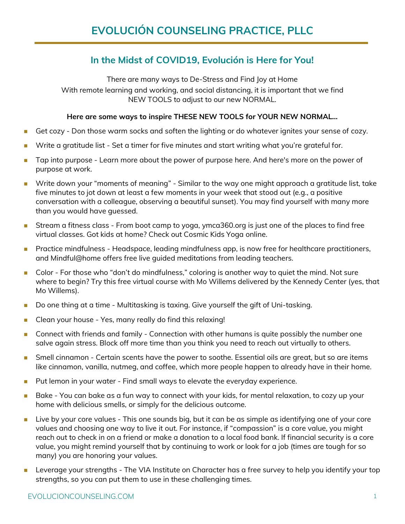## **In the Midst of COVID19, Evolución is Here for You!**

There are many ways to De-Stress and Find Joy at Home

With remote learning and working, and social distancing, it is important that we find NEW TOOLS to adjust to our new NORMAL.

## **Here are some ways to inspire THESE NEW TOOLS for YOUR NEW NORMAL…**

- Get cozy Don those warm socks and soften the lighting or do whatever ignites your sense of cozy.
- Write a gratitude list Set a timer for five minutes and start writing what you're grateful for.
- Tap into purpose Learn more about the power of purpose here. And here's more on the power of purpose at work.
- Write down your "moments of meaning" Similar to the way one might approach a gratitude list, take five minutes to jot down at least a few moments in your week that stood out (e.g., a positive conversation with a colleague, observing a beautiful sunset). You may find yourself with many more than you would have guessed.
- Stream a fitness class From boot camp to yoga, ymca360.org is just one of the places to find free virtual classes. Got kids at home? Check out Cosmic Kids Yoga online.
- Practice mindfulness Headspace, leading mindfulness app, is now free for healthcare practitioners, and Mindful@home offers free live guided meditations from leading teachers.
- Color For those who "don't do mindfulness," coloring is another way to quiet the mind. Not sure where to begin? Try this free virtual course with Mo Willems delivered by the Kennedy Center (yes, that Mo Willems).
- Do one thing at a time Multitasking is taxing. Give yourself the gift of Uni-tasking.
- Clean your house Yes, many really do find this relaxing!
- Connect with friends and family Connection with other humans is quite possibly the number one salve again stress. Block off more time than you think you need to reach out virtually to others.
- Smell cinnamon Certain scents have the power to soothe. Essential oils are great, but so are items like cinnamon, vanilla, nutmeg, and coffee, which more people happen to already have in their home.
- Put lemon in your water Find small ways to elevate the everyday experience.
- Bake You can bake as a fun way to connect with your kids, for mental relaxation, to cozy up your home with delicious smells, or simply for the delicious outcome.
- Live by your core values This one sounds big, but it can be as simple as identifying one of your core values and choosing one way to live it out. For instance, if "compassion" is a core value, you might reach out to check in on a friend or make a donation to a local food bank. If financial security is a core value, you might remind yourself that by continuing to work or look for a job (times are tough for so many) you are honoring your values.
- Leverage your strengths The VIA Institute on Character has a free survey to help you identify your top strengths, so you can put them to use in these challenging times.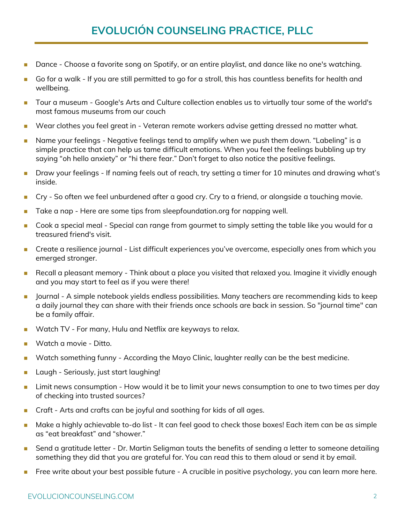## **EVOLUCIÓN COUNSELING PRACTICE, PLLC**

- Dance Choose a favorite song on Spotify, or an entire playlist, and dance like no one's watching.
- Go for a walk If you are still permitted to go for a stroll, this has countless benefits for health and wellbeing.
- ◼ Tour a museum Google's Arts and Culture collection enables us to virtually tour some of the world's most famous museums from our couch
- Wear clothes you feel great in Veteran remote workers advise getting dressed no matter what.
- Name your feelings Negative feelings tend to amplify when we push them down. "Labeling" is a simple practice that can help us tame difficult emotions. When you feel the feelings bubbling up try saying "oh hello anxiety" or "hi there fear." Don't forget to also notice the positive feelings.
- Draw your feelings If naming feels out of reach, try setting a timer for 10 minutes and drawing what's inside.
- Cry So often we feel unburdened after a good cry. Cry to a friend, or alongside a touching movie.
- Take a nap Here are some tips from sleepfoundation.org for napping well.
- Cook a special meal Special can range from gourmet to simply setting the table like you would for a treasured friend's visit.
- Create a resilience journal List difficult experiences you've overcome, especially ones from which you emerged stronger.
- Recall a pleasant memory Think about a place you visited that relaxed you. Imagine it vividly enough and you may start to feel as if you were there!
- Journal A simple notebook yields endless possibilities. Many teachers are recommending kids to keep a daily journal they can share with their friends once schools are back in session. So "journal time" can be a family affair.
- Watch TV For many, Hulu and Netflix are keyways to relax.
- Watch a movie Ditto.
- Watch something funny According the Mayo Clinic, laughter really can be the best medicine.
- Laugh Seriously, just start laughing!
- Limit news consumption How would it be to limit your news consumption to one to two times per day of checking into trusted sources?
- Craft Arts and crafts can be joyful and soothing for kids of all ages.
- Make a highly achievable to-do list It can feel good to check those boxes! Each item can be as simple as "eat breakfast" and "shower."
- Send a gratitude letter Dr. Martin Seligman touts the benefits of sending a letter to someone detailing something they did that you are grateful for. You can read this to them aloud or send it by email.
- Free write about your best possible future A crucible in positive psychology, you can learn more here.